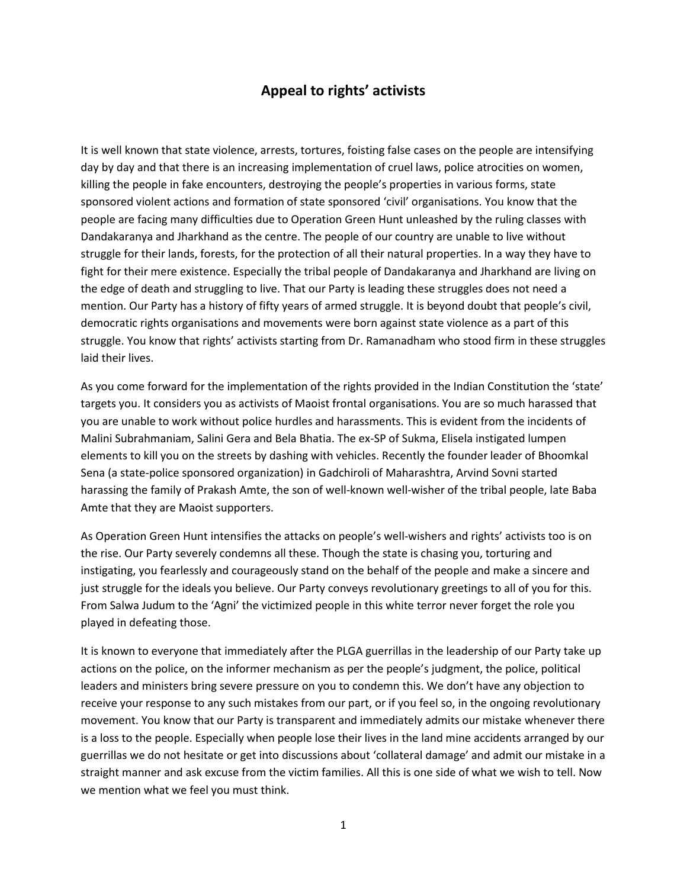## **Appeal to rights' activists**

It is well known that state violence, arrests, tortures, foisting false cases on the people are intensifying day by day and that there is an increasing implementation of cruel laws, police atrocities on women, killing the people in fake encounters, destroying the people's properties in various forms, state sponsored violent actions and formation of state sponsored 'civil' organisations. You know that the people are facing many difficulties due to Operation Green Hunt unleashed by the ruling classes with Dandakaranya and Jharkhand as the centre. The people of our country are unable to live without struggle for their lands, forests, for the protection of all their natural properties. In a way they have to fight for their mere existence. Especially the tribal people of Dandakaranya and Jharkhand are living on the edge of death and struggling to live. That our Party is leading these struggles does not need a mention. Our Party has a history of fifty years of armed struggle. It is beyond doubt that people's civil, democratic rights organisations and movements were born against state violence as a part of this struggle. You know that rights' activists starting from Dr. Ramanadham who stood firm in these struggles laid their lives.

As you come forward for the implementation of the rights provided in the Indian Constitution the 'state' targets you. It considers you as activists of Maoist frontal organisations. You are so much harassed that you are unable to work without police hurdles and harassments. This is evident from the incidents of Malini Subrahmaniam, Salini Gera and Bela Bhatia. The ex-SP of Sukma, Elisela instigated lumpen elements to kill you on the streets by dashing with vehicles. Recently the founder leader of Bhoomkal Sena (a state-police sponsored organization) in Gadchiroli of Maharashtra, Arvind Sovni started harassing the family of Prakash Amte, the son of well-known well-wisher of the tribal people, late Baba Amte that they are Maoist supporters.

As Operation Green Hunt intensifies the attacks on people's well-wishers and rights' activists too is on the rise. Our Party severely condemns all these. Though the state is chasing you, torturing and instigating, you fearlessly and courageously stand on the behalf of the people and make a sincere and just struggle for the ideals you believe. Our Party conveys revolutionary greetings to all of you for this. From Salwa Judum to the 'Agni' the victimized people in this white terror never forget the role you played in defeating those.

It is known to everyone that immediately after the PLGA guerrillas in the leadership of our Party take up actions on the police, on the informer mechanism as per the people's judgment, the police, political leaders and ministers bring severe pressure on you to condemn this. We don't have any objection to receive your response to any such mistakes from our part, or if you feel so, in the ongoing revolutionary movement. You know that our Party is transparent and immediately admits our mistake whenever there is a loss to the people. Especially when people lose their lives in the land mine accidents arranged by our guerrillas we do not hesitate or get into discussions about 'collateral damage' and admit our mistake in a straight manner and ask excuse from the victim families. All this is one side of what we wish to tell. Now we mention what we feel you must think.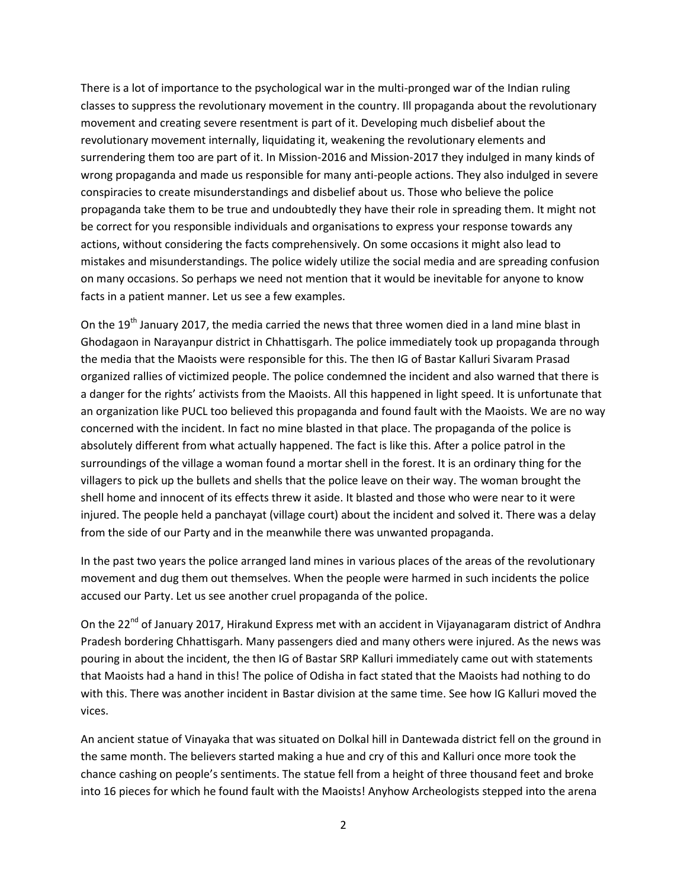There is a lot of importance to the psychological war in the multi-pronged war of the Indian ruling classes to suppress the revolutionary movement in the country. Ill propaganda about the revolutionary movement and creating severe resentment is part of it. Developing much disbelief about the revolutionary movement internally, liquidating it, weakening the revolutionary elements and surrendering them too are part of it. In Mission-2016 and Mission-2017 they indulged in many kinds of wrong propaganda and made us responsible for many anti-people actions. They also indulged in severe conspiracies to create misunderstandings and disbelief about us. Those who believe the police propaganda take them to be true and undoubtedly they have their role in spreading them. It might not be correct for you responsible individuals and organisations to express your response towards any actions, without considering the facts comprehensively. On some occasions it might also lead to mistakes and misunderstandings. The police widely utilize the social media and are spreading confusion on many occasions. So perhaps we need not mention that it would be inevitable for anyone to know facts in a patient manner. Let us see a few examples.

On the 19<sup>th</sup> January 2017, the media carried the news that three women died in a land mine blast in Ghodagaon in Narayanpur district in Chhattisgarh. The police immediately took up propaganda through the media that the Maoists were responsible for this. The then IG of Bastar Kalluri Sivaram Prasad organized rallies of victimized people. The police condemned the incident and also warned that there is a danger for the rights' activists from the Maoists. All this happened in light speed. It is unfortunate that an organization like PUCL too believed this propaganda and found fault with the Maoists. We are no way concerned with the incident. In fact no mine blasted in that place. The propaganda of the police is absolutely different from what actually happened. The fact is like this. After a police patrol in the surroundings of the village a woman found a mortar shell in the forest. It is an ordinary thing for the villagers to pick up the bullets and shells that the police leave on their way. The woman brought the shell home and innocent of its effects threw it aside. It blasted and those who were near to it were injured. The people held a panchayat (village court) about the incident and solved it. There was a delay from the side of our Party and in the meanwhile there was unwanted propaganda.

In the past two years the police arranged land mines in various places of the areas of the revolutionary movement and dug them out themselves. When the people were harmed in such incidents the police accused our Party. Let us see another cruel propaganda of the police.

On the 22<sup>nd</sup> of January 2017, Hirakund Express met with an accident in Vijayanagaram district of Andhra Pradesh bordering Chhattisgarh. Many passengers died and many others were injured. As the news was pouring in about the incident, the then IG of Bastar SRP Kalluri immediately came out with statements that Maoists had a hand in this! The police of Odisha in fact stated that the Maoists had nothing to do with this. There was another incident in Bastar division at the same time. See how IG Kalluri moved the vices.

An ancient statue of Vinayaka that was situated on Dolkal hill in Dantewada district fell on the ground in the same month. The believers started making a hue and cry of this and Kalluri once more took the chance cashing on people's sentiments. The statue fell from a height of three thousand feet and broke into 16 pieces for which he found fault with the Maoists! Anyhow Archeologists stepped into the arena